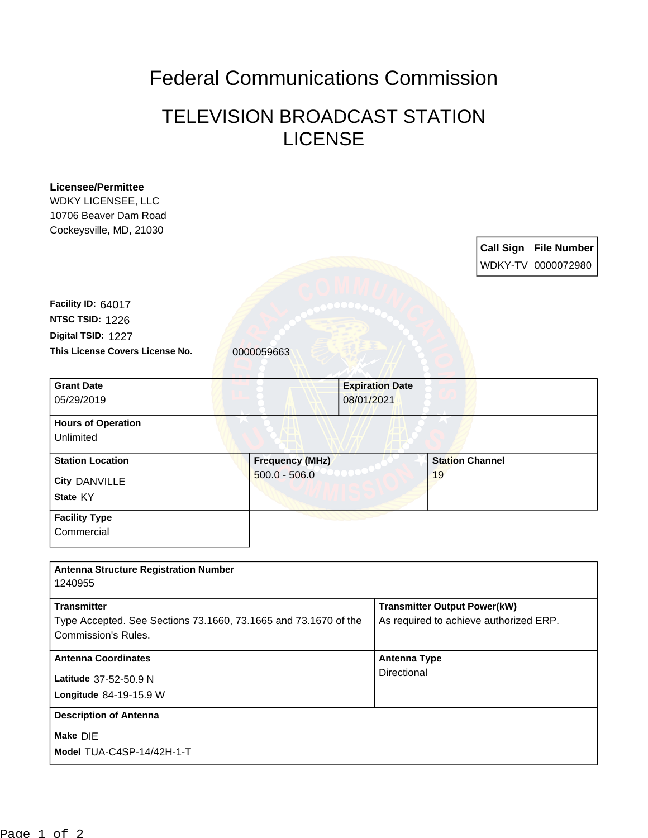## Federal Communications Commission

## TELEVISION BROADCAST STATION LICENSE

| <b>Licensee/Permittee</b><br><b>WDKY LICENSEE, LLC</b><br>10706 Beaver Dam Road<br>Cockeysville, MD, 21030          |                                           |                                      |                                                                               | <b>Call Sign File Number</b><br>WDKY-TV 0000072980 |
|---------------------------------------------------------------------------------------------------------------------|-------------------------------------------|--------------------------------------|-------------------------------------------------------------------------------|----------------------------------------------------|
| Facility ID: 64017                                                                                                  |                                           |                                      |                                                                               |                                                    |
| NTSC TSID: 1226                                                                                                     |                                           |                                      |                                                                               |                                                    |
| Digital TSID: 1227                                                                                                  |                                           |                                      |                                                                               |                                                    |
| This License Covers License No.                                                                                     | 0000059663                                |                                      |                                                                               |                                                    |
| <b>Grant Date</b><br>05/29/2019                                                                                     |                                           | <b>Expiration Date</b><br>08/01/2021 |                                                                               |                                                    |
| <b>Hours of Operation</b><br>Unlimited                                                                              |                                           |                                      |                                                                               |                                                    |
| <b>Station Location</b>                                                                                             | <b>Frequency (MHz)</b><br>$500.0 - 506.0$ |                                      | <b>Station Channel</b><br>19                                                  |                                                    |
| <b>City DANVILLE</b><br>State KY                                                                                    |                                           |                                      |                                                                               |                                                    |
| <b>Facility Type</b><br>Commercial                                                                                  |                                           |                                      |                                                                               |                                                    |
| <b>Antenna Structure Registration Number</b><br>1240955                                                             |                                           |                                      |                                                                               |                                                    |
| <b>Transmitter</b><br>Type Accepted. See Sections 73.1660, 73.1665 and 73.1670 of the<br><b>Commission's Rules.</b> |                                           |                                      | <b>Transmitter Output Power(kW)</b><br>As required to achieve authorized ERP. |                                                    |
| <b>Antenna Coordinates</b><br>Latitude 37-52-50.9 N                                                                 |                                           | <b>Antenna Type</b><br>Directional   |                                                                               |                                                    |
| Longitude 84-19-15.9 W                                                                                              |                                           |                                      |                                                                               |                                                    |
| <b>Description of Antenna</b>                                                                                       |                                           |                                      |                                                                               |                                                    |
| Make DIE<br>Model TUA-C4SP-14/42H-1-T                                                                               |                                           |                                      |                                                                               |                                                    |